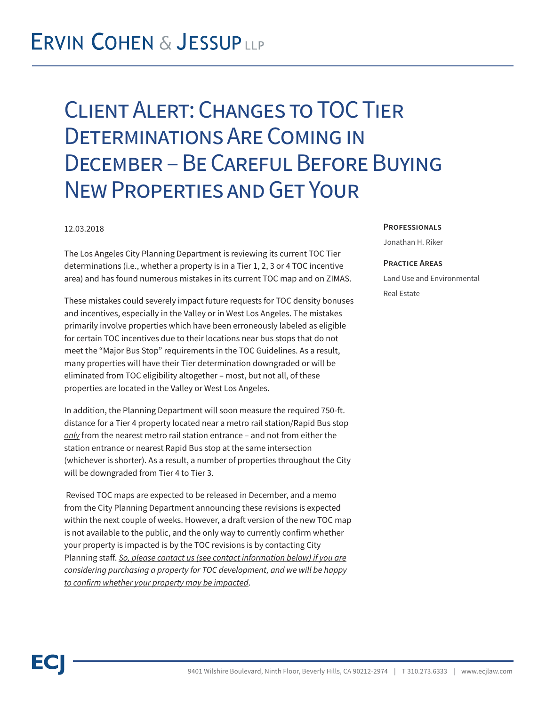### **ERVIN COHEN & JESSUPLLP**

# Client Alert: Changes to TOC Tier Determinations Are Coming in December – Be Careful Before Buying New Properties and Get Your

### 12.03.2018

The Los Angeles City Planning Department is reviewing its current TOC Tier determinations (i.e., whether a property is in a Tier 1, 2, 3 or 4 TOC incentive area) and has found numerous mistakes in its current TOC map and on ZIMAS.

These mistakes could severely impact future requests for TOC density bonuses and incentives, especially in the Valley or in West Los Angeles. The mistakes primarily involve properties which have been erroneously labeled as eligible for certain TOC incentives due to their locations near bus stops that do not meet the "Major Bus Stop" requirements in the TOC Guidelines. As a result, many properties will have their Tier determination downgraded or will be eliminated from TOC eligibility altogether – most, but not all, of these properties are located in the Valley or West Los Angeles.

In addition, the Planning Department will soon measure the required 750-ft. distance for a Tier 4 property located near a metro rail station/Rapid Bus stop *only* from the nearest metro rail station entrance – and not from either the station entrance or nearest Rapid Bus stop at the same intersection (whichever is shorter). As a result, a number of properties throughout the City will be downgraded from Tier 4 to Tier 3.

 Revised TOC maps are expected to be released in December, and a memo from the City Planning Department announcing these revisions is expected within the next couple of weeks. However, a draft version of the new TOC map is not available to the public, and the only way to currently confirm whether your property is impacted is by the TOC revisions is by contacting City Planning staff. *So, please contact us (see contact information below) if you are considering purchasing a property for TOC development, and we will be happy to confirm whether your property may be impacted*.

#### **Professionals**

Jonathan H. Riker

#### **Practice Areas**

Land Use and Environmental Real Estate